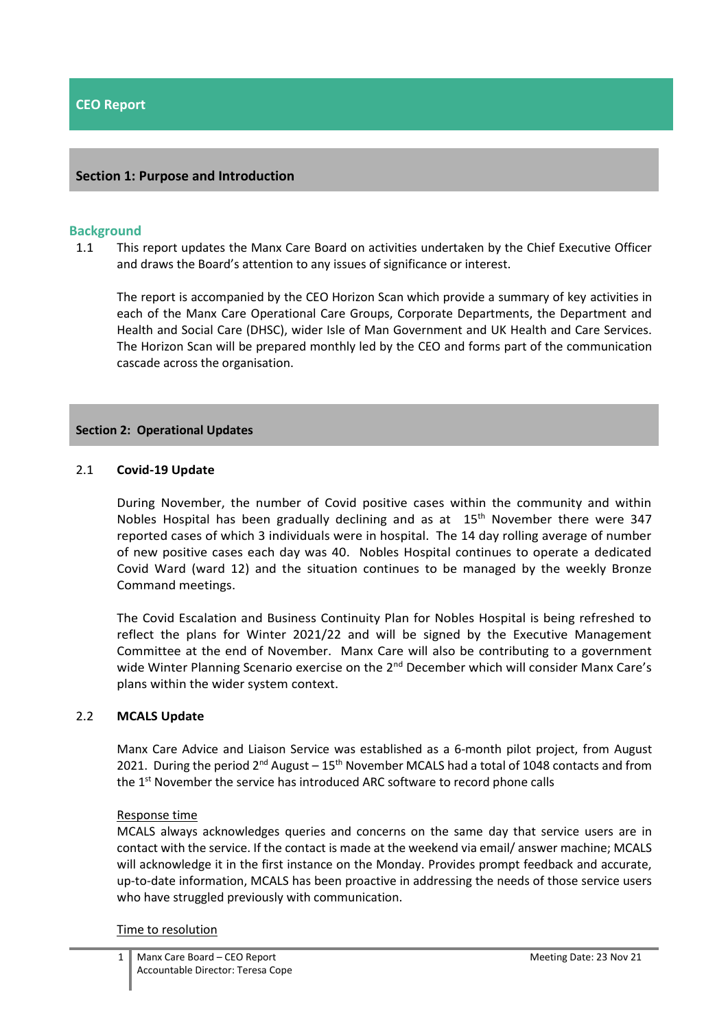### **Section 1: Purpose and Introduction**

#### **Background**

1.1 This report updates the Manx Care Board on activities undertaken by the Chief Executive Officer and draws the Board's attention to any issues of significance or interest.

The report is accompanied by the CEO Horizon Scan which provide a summary of key activities in each of the Manx Care Operational Care Groups, Corporate Departments, the Department and Health and Social Care (DHSC), wider Isle of Man Government and UK Health and Care Services. The Horizon Scan will be prepared monthly led by the CEO and forms part of the communication cascade across the organisation.

#### **Section 2: Operational Updates**

### 2.1 **Covid-19 Update**

During November, the number of Covid positive cases within the community and within Nobles Hospital has been gradually declining and as at  $15<sup>th</sup>$  November there were 347 reported cases of which 3 individuals were in hospital. The 14 day rolling average of number of new positive cases each day was 40. Nobles Hospital continues to operate a dedicated Covid Ward (ward 12) and the situation continues to be managed by the weekly Bronze Command meetings.

The Covid Escalation and Business Continuity Plan for Nobles Hospital is being refreshed to reflect the plans for Winter 2021/22 and will be signed by the Executive Management Committee at the end of November. Manx Care will also be contributing to a government wide Winter Planning Scenario exercise on the 2<sup>nd</sup> December which will consider Manx Care's plans within the wider system context.

#### 2.2 **MCALS Update**

Manx Care Advice and Liaison Service was established as a 6-month pilot project, from August 2021. During the period  $2^{nd}$  August – 15<sup>th</sup> November MCALS had a total of 1048 contacts and from the 1<sup>st</sup> November the service has introduced ARC software to record phone calls

#### Response time

MCALS always acknowledges queries and concerns on the same day that service users are in contact with the service. If the contact is made at the weekend via email/ answer machine; MCALS will acknowledge it in the first instance on the Monday. Provides prompt feedback and accurate, up-to-date information, MCALS has been proactive in addressing the needs of those service users who have struggled previously with communication.

#### Time to resolution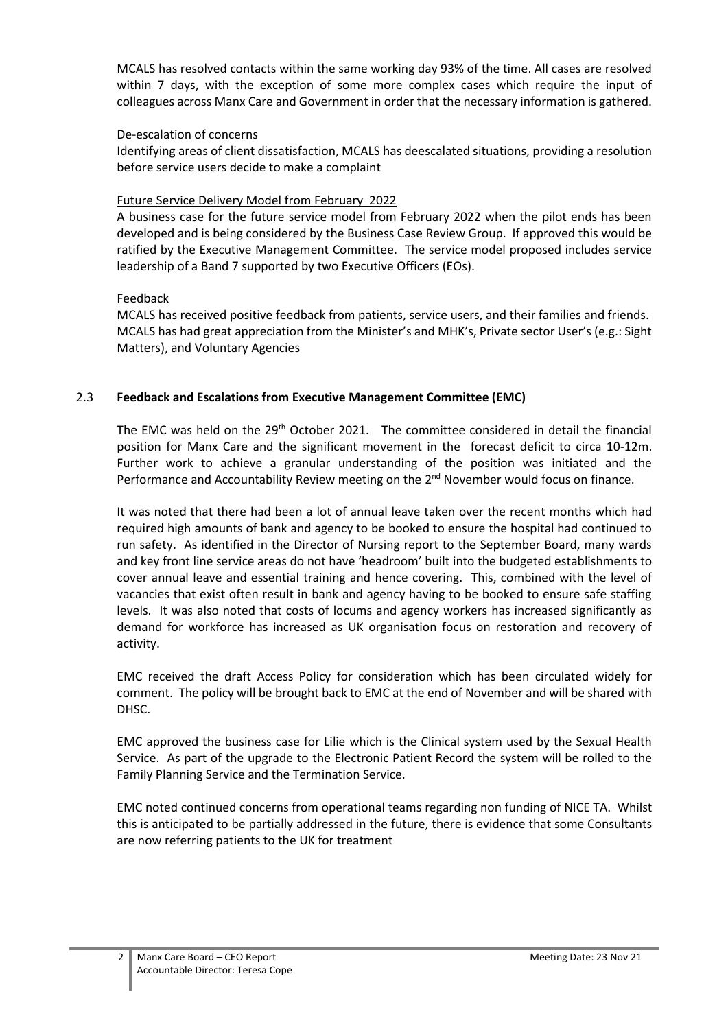MCALS has resolved contacts within the same working day 93% of the time. All cases are resolved within 7 days, with the exception of some more complex cases which require the input of colleagues across Manx Care and Government in order that the necessary information is gathered.

## De-escalation of concerns

Identifying areas of client dissatisfaction, MCALS has deescalated situations, providing a resolution before service users decide to make a complaint

## Future Service Delivery Model from February 2022

A business case for the future service model from February 2022 when the pilot ends has been developed and is being considered by the Business Case Review Group. If approved this would be ratified by the Executive Management Committee. The service model proposed includes service leadership of a Band 7 supported by two Executive Officers (EOs).

# Feedback

MCALS has received positive feedback from patients, service users, and their families and friends. MCALS has had great appreciation from the Minister's and MHK's, Private sector User's (e.g.: Sight Matters), and Voluntary Agencies

# 2.3 **Feedback and Escalations from Executive Management Committee (EMC)**

The EMC was held on the 29<sup>th</sup> October 2021. The committee considered in detail the financial position for Manx Care and the significant movement in the forecast deficit to circa 10-12m. Further work to achieve a granular understanding of the position was initiated and the Performance and Accountability Review meeting on the 2<sup>nd</sup> November would focus on finance.

It was noted that there had been a lot of annual leave taken over the recent months which had required high amounts of bank and agency to be booked to ensure the hospital had continued to run safety. As identified in the Director of Nursing report to the September Board, many wards and key front line service areas do not have 'headroom' built into the budgeted establishments to cover annual leave and essential training and hence covering. This, combined with the level of vacancies that exist often result in bank and agency having to be booked to ensure safe staffing levels. It was also noted that costs of locums and agency workers has increased significantly as demand for workforce has increased as UK organisation focus on restoration and recovery of activity.

EMC received the draft Access Policy for consideration which has been circulated widely for comment. The policy will be brought back to EMC at the end of November and will be shared with DHSC.

EMC approved the business case for Lilie which is the Clinical system used by the Sexual Health Service. As part of the upgrade to the Electronic Patient Record the system will be rolled to the Family Planning Service and the Termination Service.

EMC noted continued concerns from operational teams regarding non funding of NICE TA. Whilst this is anticipated to be partially addressed in the future, there is evidence that some Consultants are now referring patients to the UK for treatment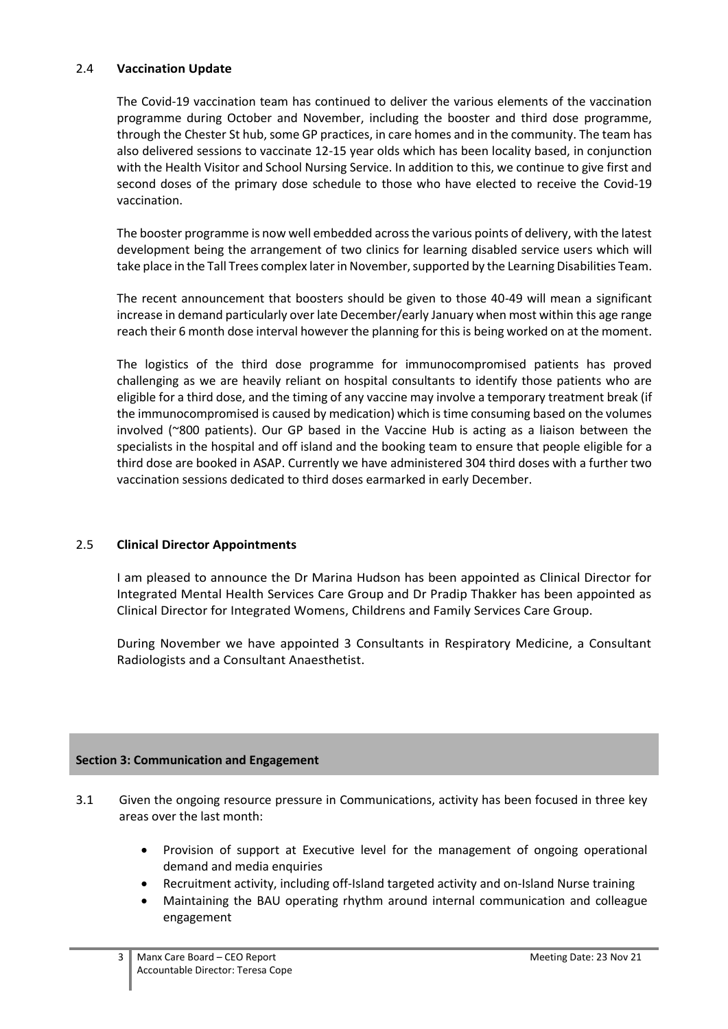# 2.4 **Vaccination Update**

The Covid-19 vaccination team has continued to deliver the various elements of the vaccination programme during October and November, including the booster and third dose programme, through the Chester St hub, some GP practices, in care homes and in the community. The team has also delivered sessions to vaccinate 12-15 year olds which has been locality based, in conjunction with the Health Visitor and School Nursing Service. In addition to this, we continue to give first and second doses of the primary dose schedule to those who have elected to receive the Covid-19 vaccination.

The booster programme is now well embedded across the various points of delivery, with the latest development being the arrangement of two clinics for learning disabled service users which will take place in the Tall Trees complex later in November, supported by the Learning Disabilities Team.

The recent announcement that boosters should be given to those 40-49 will mean a significant increase in demand particularly over late December/early January when most within this age range reach their 6 month dose interval however the planning for this is being worked on at the moment.

The logistics of the third dose programme for immunocompromised patients has proved challenging as we are heavily reliant on hospital consultants to identify those patients who are eligible for a third dose, and the timing of any vaccine may involve a temporary treatment break (if the immunocompromised is caused by medication) which is time consuming based on the volumes involved (~800 patients). Our GP based in the Vaccine Hub is acting as a liaison between the specialists in the hospital and off island and the booking team to ensure that people eligible for a third dose are booked in ASAP. Currently we have administered 304 third doses with a further two vaccination sessions dedicated to third doses earmarked in early December.

# 2.5 **Clinical Director Appointments**

I am pleased to announce the Dr Marina Hudson has been appointed as Clinical Director for Integrated Mental Health Services Care Group and Dr Pradip Thakker has been appointed as Clinical Director for Integrated Womens, Childrens and Family Services Care Group.

During November we have appointed 3 Consultants in Respiratory Medicine, a Consultant Radiologists and a Consultant Anaesthetist.

# **Section 3: Communication and Engagement**

- 3.1 Given the ongoing resource pressure in Communications, activity has been focused in three key areas over the last month:
	- Provision of support at Executive level for the management of ongoing operational demand and media enquiries
	- Recruitment activity, including off-Island targeted activity and on-Island Nurse training
	- Maintaining the BAU operating rhythm around internal communication and colleague engagement